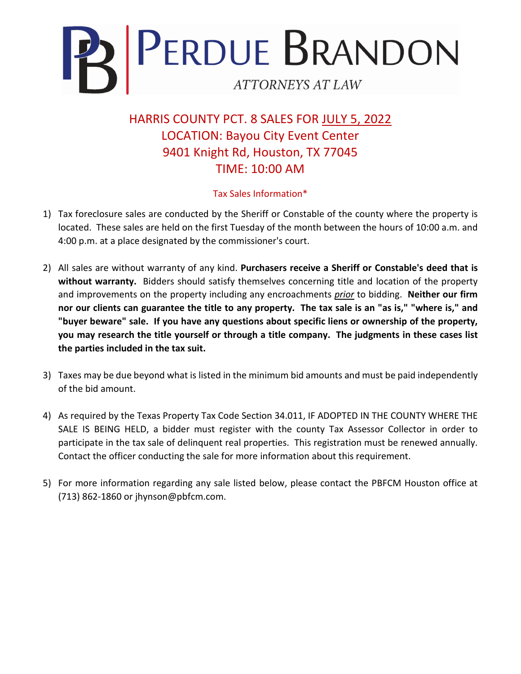

HARRIS COUNTY PCT. 8 SALES FOR JULY 5, 2022 LOCATION: Bayou City Event Center 9401 Knight Rd, Houston, TX 77045 TIME: 10:00 AM

## Tax Sales Information\*

- 1) Tax foreclosure sales are conducted by the Sheriff or Constable of the county where the property is located. These sales are held on the first Tuesday of the month between the hours of 10:00 a.m. and 4:00 p.m. at a place designated by the commissioner's court.
- 2) All sales are without warranty of any kind. **Purchasers receive a Sheriff or Constable's deed that is without warranty.** Bidders should satisfy themselves concerning title and location of the property and improvements on the property including any encroachments *prior* to bidding. **Neither our firm nor our clients can guarantee the title to any property. The tax sale is an "as is," "where is," and "buyer beware" sale. If you have any questions about specific liens or ownership of the property, you may research the title yourself or through a title company. The judgments in these cases list the parties included in the tax suit.**
- 3) Taxes may be due beyond what is listed in the minimum bid amounts and must be paid independently of the bid amount.
- 4) As required by the Texas Property Tax Code Section 34.011, IF ADOPTED IN THE COUNTY WHERE THE SALE IS BEING HELD, a bidder must register with the county Tax Assessor Collector in order to participate in the tax sale of delinquent real properties. This registration must be renewed annually. Contact the officer conducting the sale for more information about this requirement.
- 5) For more information regarding any sale listed below, please contact the PBFCM Houston office at (713) 862-1860 or jhynson@pbfcm.com.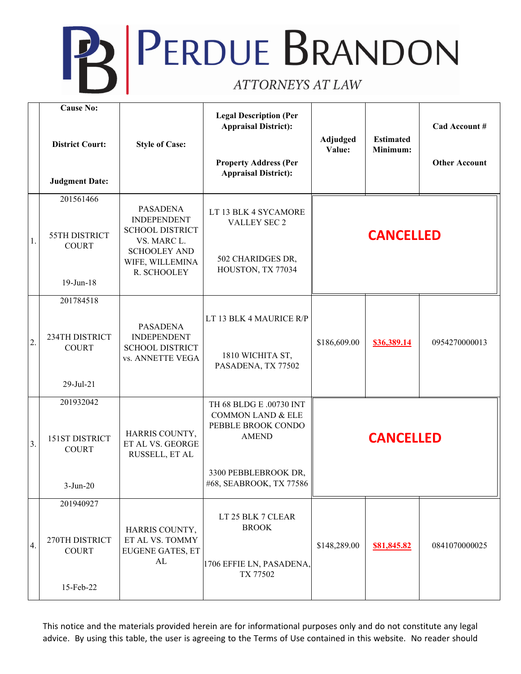## **B** PERDUE BRANDON

|    | <b>Cause No:</b><br><b>District Court:</b><br><b>Judgment Date:</b> | <b>Style of Case:</b>                                                                                                                   | <b>Legal Description (Per</b><br><b>Appraisal District):</b><br><b>Property Address (Per</b><br><b>Appraisal District):</b>                      | Adjudged<br>Value: | <b>Estimated</b><br>Minimum: | Cad Account #<br><b>Other Account</b> |
|----|---------------------------------------------------------------------|-----------------------------------------------------------------------------------------------------------------------------------------|--------------------------------------------------------------------------------------------------------------------------------------------------|--------------------|------------------------------|---------------------------------------|
| 1. | 201561466<br>55TH DISTRICT<br><b>COURT</b><br>19-Jun-18             | <b>PASADENA</b><br><b>INDEPENDENT</b><br><b>SCHOOL DISTRICT</b><br>VS. MARC L.<br><b>SCHOOLEY AND</b><br>WIFE, WILLEMINA<br>R. SCHOOLEY | LT 13 BLK 4 SYCAMORE<br>VALLEY SEC 2<br>502 CHARIDGES DR,<br>HOUSTON, TX 77034                                                                   | <b>CANCELLED</b>   |                              |                                       |
| 2. | 201784518<br>234TH DISTRICT<br><b>COURT</b><br>29-Jul-21            | <b>PASADENA</b><br><b>INDEPENDENT</b><br><b>SCHOOL DISTRICT</b><br>vs. ANNETTE VEGA                                                     | LT 13 BLK 4 MAURICE R/P<br>1810 WICHITA ST,<br>PASADENA, TX 77502                                                                                | \$186,609.00       | \$36,389.14                  | 0954270000013                         |
| 3. | 201932042<br>151ST DISTRICT<br><b>COURT</b><br>$3-Jun-20$           | HARRIS COUNTY,<br>ET AL VS. GEORGE<br>RUSSELL, ET AL                                                                                    | TH 68 BLDG E .00730 INT<br><b>COMMON LAND &amp; ELE</b><br>PEBBLE BROOK CONDO<br><b>AMEND</b><br>3300 PEBBLEBROOK DR,<br>#68, SEABROOK, TX 77586 | <b>CANCELLED</b>   |                              |                                       |
| 4. | 201940927<br>270TH DISTRICT<br><b>COURT</b><br>15-Feb-22            | HARRIS COUNTY,<br>ET AL VS. TOMMY<br><b>EUGENE GATES, ET</b><br>${\rm AL}$                                                              | LT 25 BLK 7 CLEAR<br><b>BROOK</b><br>1706 EFFIE LN, PASADENA,<br>TX 77502                                                                        | \$148,289.00       | \$81,845.82                  | 0841070000025                         |

This notice and the materials provided herein are for informational purposes only and do not constitute any legal advice. By using this table, the user is agreeing to the Terms of Use contained in this website. No reader should